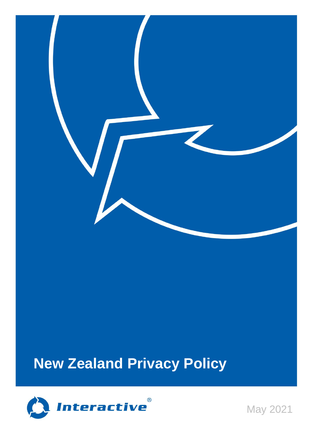

# **New Zealand Privacy Policy**



May 2021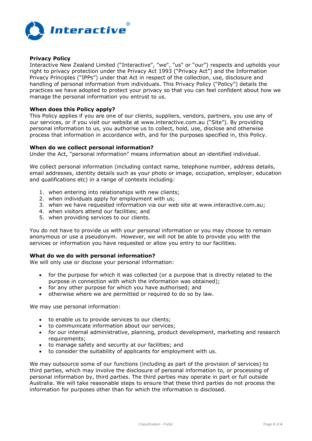

## **Privacy Policy**

Interactive New Zealand Limited ("Interactive", "we", "us" or "our") respects and upholds your right to privacy protection under the Privacy Act 1993 ("Privacy Act") and the Information Privacy Principles ("IPPs") under that Act in respect of the collection, use, disclosure and handling of personal information from individuals. This Privacy Policy ("Policy") details the practices we have adopted to protect your privacy so that you can feel confident about how we manage the personal information you entrust to us.

#### **When does this Policy apply?**

This Policy applies if you are one of our clients, suppliers, vendors, partners, you use any of our services, or if you visit our website at www.interactive.com.au ("Site"). By providing personal information to us, you authorise us to collect, hold, use, disclose and otherwise process that information in accordance with, and for the purposes specified in, this Policy.

## **When do we collect personal information?**

Under the Act, "personal information" means information about an identified individual.

We collect personal information (including contact name, telephone number, address details, email addresses, identity details such as your photo or image, occupation, employer, education and qualifications etc) in a range of contexts including:

- 1. when entering into relationships with new clients;
- 2. when individuals apply for employment with us;
- 3. when we have requested information via our web site at www.interactive.com.au;
- 4. when visitors attend our facilities; and
- 5. when providing services to our clients.

You do not have to provide us with your personal information or you may choose to remain anonymous or use a pseudonym. However, we will not be able to provide you with the services or information you have requested or allow you entry to our facilities.

## **What do we do with personal information?**

We will only use or disclose your personal information:

- for the purpose for which it was collected (or a purpose that is directly related to the purpose in connection with which the information was obtained);
- for any other purpose for which you have authorised; and
- otherwise where we are permitted or required to do so by law.

We may use personal information:

- to enable us to provide services to our clients;
- to communicate information about our services;
- for our internal administrative, planning, product development, marketing and research requirements;
- to manage safety and security at our facilities; and
- to consider the suitability of applicants for employment with us.

We may outsource some of our functions (including as part of the provision of services) to third parties, which may involve the disclosure of personal information to, or processing of personal information by, third parties. The third parties may operate in part or full outside Australia. We will take reasonable steps to ensure that these third parties do not process the information for purposes other than for which the information is disclosed.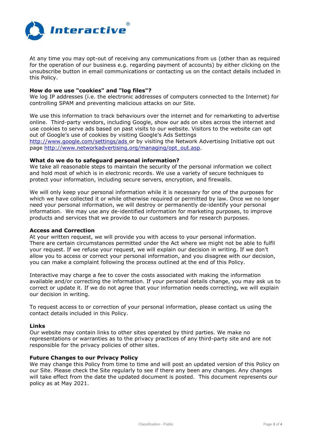

At any time you may opt-out of receiving any communications from us (other than as required for the operation of our business e.g. regarding payment of accounts) by either clicking on the unsubscribe button in email communications or contacting us on the contact details included in this Policy.

## **How do we use "cookies" and "log files"?**

We log IP addresses (i.e. the electronic addresses of computers connected to the Internet) for controlling SPAM and preventing malicious attacks on our Site.

We use this information to track behaviours over the internet and for remarketing to advertise online. Third-party vendors, including Google, show our ads on sites across the internet and use cookies to serve ads based on past visits to our website. Visitors to the website can opt out of Google's use of cookies by visiting Google's Ads Settings

<http://www.google.com/settings/ads> or by visiting the Network Advertising Initiative opt out page [http://www.networkadvertising.org/managing/opt\\_out.asp.](http://www.networkadvertising.org/managing/opt_out.asp)

## **What do we do to safeguard personal information?**

We take all reasonable steps to maintain the security of the personal information we collect and hold most of which is in electronic records. We use a variety of secure techniques to protect your information, including secure servers, encryption, and firewalls.

We will only keep your personal information while it is necessary for one of the purposes for which we have collected it or while otherwise required or permitted by law. Once we no longer need your personal information, we will destroy or permanently de-identify your personal information. We may use any de-identified information for marketing purposes, to improve products and services that we provide to our customers and for research purposes.

#### **Access and Correction**

At your written request, we will provide you with access to your personal information. There are certain circumstances permitted under the Act where we might not be able to fulfil your request. If we refuse your request, we will explain our decision in writing. If we don't allow you to access or correct your personal information, and you disagree with our decision, you can make a complaint following the process outlined at the end of this Policy.

Interactive may charge a fee to cover the costs associated with making the information available and/or correcting the information. If your personal details change, you may ask us to correct or update it. If we do not agree that your information needs correcting, we will explain our decision in writing.

To request access to or correction of your personal information, please contact us using the contact details included in this Policy.

#### **Links**

Our website may contain links to other sites operated by third parties. We make no representations or warranties as to the privacy practices of any third-party site and are not responsible for the privacy policies of other sites.

## **Future Changes to our Privacy Policy**

We may change this Policy from time to time and will post an updated version of this Policy on our Site. Please check the Site regularly to see if there any been any changes. Any changes will take effect from the date the updated document is posted. This document represents our policy as at May 2021.